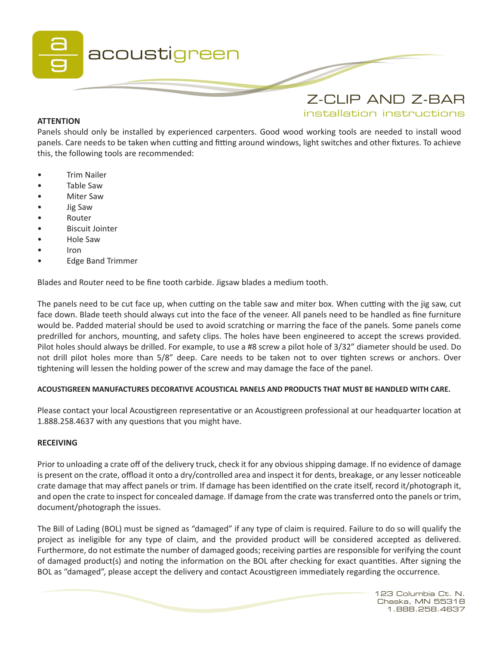

# **ATTENTION**

# installation instructions

Panels should only be installed by experienced carpenters. Good wood working tools are needed to install wood panels. Care needs to be taken when cutting and fitting around windows, light switches and other fixtures. To achieve this, the following tools are recommended:

- Trim Nailer
- Table Saw
- Miter Saw
- Jig Saw
- Router
- Biscuit Jointer
- Hole Saw
- Iron
- Edge Band Trimmer

Blades and Router need to be fine tooth carbide. Jigsaw blades a medium tooth.

The panels need to be cut face up, when cutting on the table saw and miter box. When cutting with the jig saw, cut face down. Blade teeth should always cut into the face of the veneer. All panels need to be handled as fine furniture would be. Padded material should be used to avoid scratching or marring the face of the panels. Some panels come predrilled for anchors, mounting, and safety clips. The holes have been engineered to accept the screws provided. Pilot holes should always be drilled. For example, to use a #8 screw a pilot hole of 3/32" diameter should be used. Do not drill pilot holes more than 5/8" deep. Care needs to be taken not to over tighten screws or anchors. Over tightening will lessen the holding power of the screw and may damage the face of the panel.

## **ACOUSTIGREEN MANUFACTURES DECORATIVE ACOUSTICAL PANELS AND PRODUCTS THAT MUST BE HANDLED WITH CARE.**

Please contact your local Acoustigreen representative or an Acoustigreen professional at our headquarter location at 1.888.258.4637 with any questions that you might have.

## **RECEIVING**

Prior to unloading a crate off of the delivery truck, check it for any obvious shipping damage. If no evidence of damage is present on the crate, offload it onto a dry/controlled area and inspect it for dents, breakage, or any lesser noticeable crate damage that may affect panels or trim. If damage has been identified on the crate itself, record it/photograph it, and open the crate to inspect for concealed damage. If damage from the crate was transferred onto the panels or trim, document/photograph the issues.

The Bill of Lading (BOL) must be signed as "damaged" if any type of claim is required. Failure to do so will qualify the project as ineligible for any type of claim, and the provided product will be considered accepted as delivered. Furthermore, do not estimate the number of damaged goods; receiving parties are responsible for verifying the count of damaged product(s) and noting the information on the BOL after checking for exact quantities. After signing the BOL as "damaged", please accept the delivery and contact Acoustigreen immediately regarding the occurrence.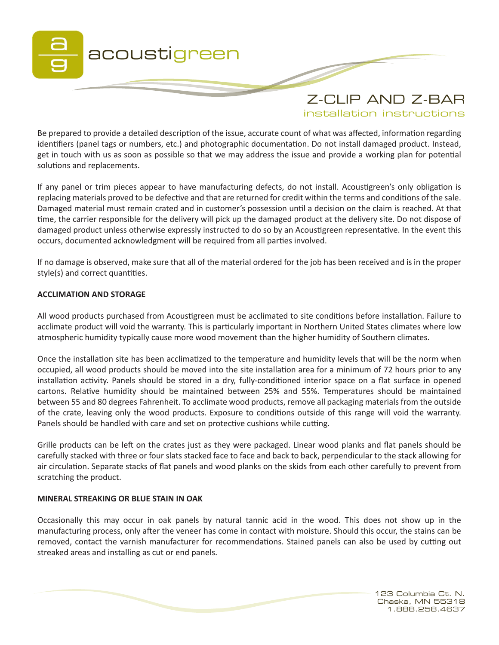

Be prepared to provide a detailed description of the issue, accurate count of what was affected, information regarding identifiers (panel tags or numbers, etc.) and photographic documentation. Do not install damaged product. Instead, get in touch with us as soon as possible so that we may address the issue and provide a working plan for potential solutions and replacements.

If any panel or trim pieces appear to have manufacturing defects, do not install. Acoustigreen's only obligation is replacing materials proved to be defective and that are returned for credit within the terms and conditions of the sale. Damaged material must remain crated and in customer's possession until a decision on the claim is reached. At that time, the carrier responsible for the delivery will pick up the damaged product at the delivery site. Do not dispose of damaged product unless otherwise expressly instructed to do so by an Acoustigreen representative. In the event this occurs, documented acknowledgment will be required from all parties involved.

If no damage is observed, make sure that all of the material ordered for the job has been received and is in the proper style(s) and correct quantities.

## **ACCLIMATION AND STORAGE**

All wood products purchased from Acoustigreen must be acclimated to site conditions before installation. Failure to acclimate product will void the warranty. This is particularly important in Northern United States climates where low atmospheric humidity typically cause more wood movement than the higher humidity of Southern climates.

Once the installation site has been acclimatized to the temperature and humidity levels that will be the norm when occupied, all wood products should be moved into the site installation area for a minimum of 72 hours prior to any installation activity. Panels should be stored in a dry, fully-conditioned interior space on a flat surface in opened cartons. Relative humidity should be maintained between 25% and 55%. Temperatures should be maintained between 55 and 80 degrees Fahrenheit. To acclimate wood products, remove all packaging materials from the outside of the crate, leaving only the wood products. Exposure to conditions outside of this range will void the warranty. Panels should be handled with care and set on protective cushions while cutting.

Grille products can be left on the crates just as they were packaged. Linear wood planks and flat panels should be carefully stacked with three or four slats stacked face to face and back to back, perpendicular to the stack allowing for air circulation. Separate stacks of flat panels and wood planks on the skids from each other carefully to prevent from scratching the product.

## **MINERAL STREAKING OR BLUE STAIN IN OAK**

Occasionally this may occur in oak panels by natural tannic acid in the wood. This does not show up in the manufacturing process, only after the veneer has come in contact with moisture. Should this occur, the stains can be removed, contact the varnish manufacturer for recommendations. Stained panels can also be used by cutting out streaked areas and installing as cut or end panels.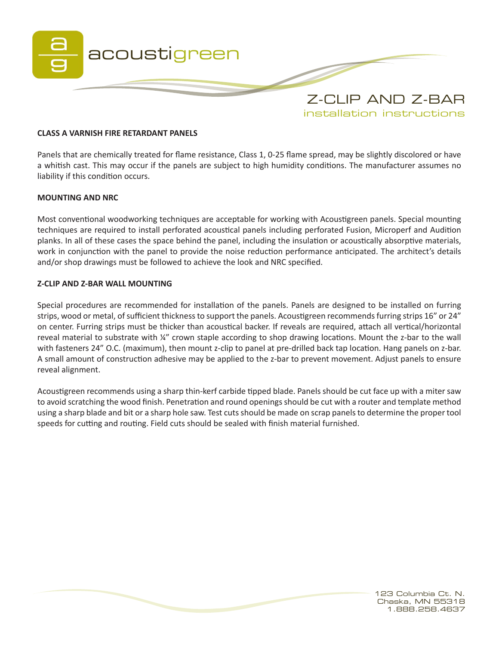

#### **CLASS A VARNISH FIRE RETARDANT PANELS**

Panels that are chemically treated for flame resistance, Class 1, 0-25 flame spread, may be slightly discolored or have a whitish cast. This may occur if the panels are subject to high humidity conditions. The manufacturer assumes no liability if this condition occurs.

#### **MOUNTING AND NRC**

Most conventional woodworking techniques are acceptable for working with Acoustigreen panels. Special mounting techniques are required to install perforated acoustical panels including perforated Fusion, Microperf and Audition planks. In all of these cases the space behind the panel, including the insulation or acoustically absorptive materials, work in conjunction with the panel to provide the noise reduction performance anticipated. The architect's details and/or shop drawings must be followed to achieve the look and NRC specified.

## **Z-CLIP AND Z-BAR WALL MOUNTING**

Special procedures are recommended for installation of the panels. Panels are designed to be installed on furring strips, wood or metal, of sufficient thickness to support the panels. Acoustigreen recommends furring strips 16" or 24" on center. Furring strips must be thicker than acoustical backer. If reveals are required, attach all vertical/horizontal reveal material to substrate with ¼" crown staple according to shop drawing locations. Mount the z-bar to the wall with fasteners 24" O.C. (maximum), then mount z-clip to panel at pre-drilled back tap location. Hang panels on z-bar. A small amount of construction adhesive may be applied to the z-bar to prevent movement. Adjust panels to ensure reveal alignment.

Acoustigreen recommends using a sharp thin-kerf carbide tipped blade. Panels should be cut face up with a miter saw to avoid scratching the wood finish. Penetration and round openings should be cut with a router and template method using a sharp blade and bit or a sharp hole saw. Test cuts should be made on scrap panels to determine the proper tool speeds for cutting and routing. Field cuts should be sealed with finish material furnished.

> 123 Columbia Ct. N. Chaska, MN 55318 1.888.258.4637